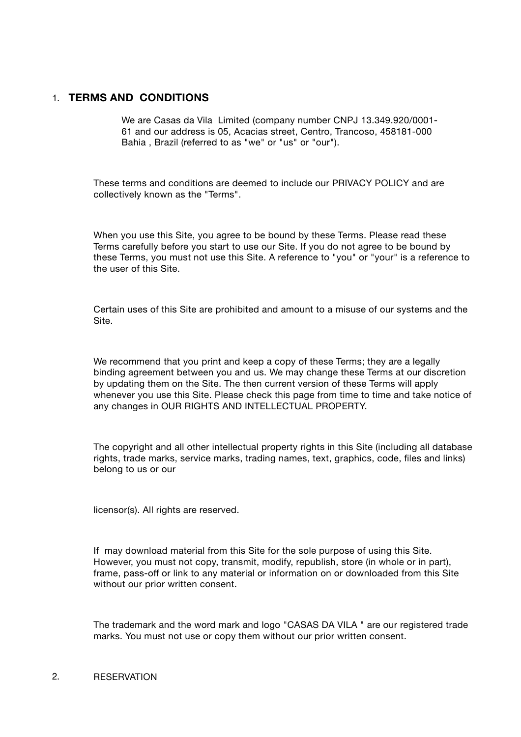## 1. **TERMS AND CONDITIONS**

We are Casas da Vila Limited (company number CNPJ 13.349.920/0001- 61 and our address is 05, Acacias street, Centro, Trancoso, 458181-000 Bahia , Brazil (referred to as "we" or "us" or "our").

These terms and conditions are deemed to include our PRIVACY POLICY and are collectively known as the "Terms".

When you use this Site, you agree to be bound by these Terms. Please read these Terms carefully before you start to use our Site. If you do not agree to be bound by these Terms, you must not use this Site. A reference to "you" or "your" is a reference to the user of this Site.

Certain uses of this Site are prohibited and amount to a misuse of our systems and the Site.

We recommend that you print and keep a copy of these Terms; they are a legally binding agreement between you and us. We may change these Terms at our discretion by updating them on the Site. The then current version of these Terms will apply whenever you use this Site. Please check this page from time to time and take notice of any changes in OUR RIGHTS AND INTELLECTUAL PROPERTY.

The copyright and all other intellectual property rights in this Site (including all database rights, trade marks, service marks, trading names, text, graphics, code, files and links) belong to us or our

licensor(s). All rights are reserved.

If may download material from this Site for the sole purpose of using this Site. However, you must not copy, transmit, modify, republish, store (in whole or in part), frame, pass-off or link to any material or information on or downloaded from this Site without our prior written consent.

The trademark and the word mark and logo "CASAS DA VILA " are our registered trade marks. You must not use or copy them without our prior written consent.

### 2. RESERVATION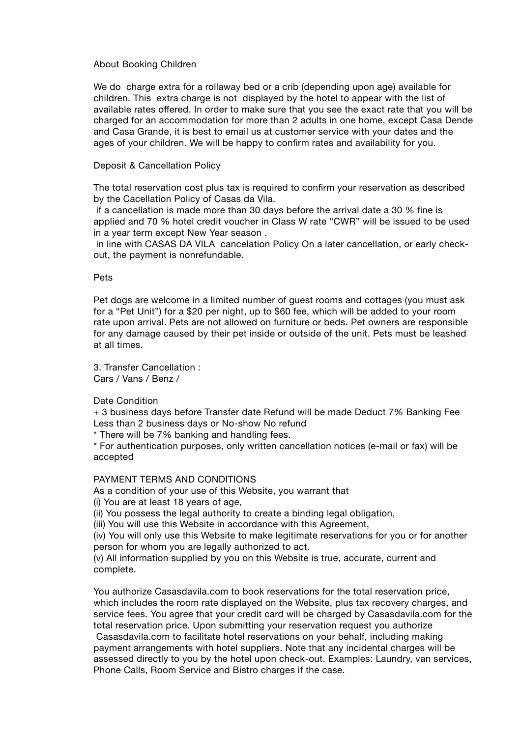#### About Booking Children

We do charge extra for a rollaway bed or a crib (depending upon age) available for children. This extra charge is not displayed by the hotel to appear with the list of available rates offered. In order to make sure that you see the exact rate that you will be charged for an accommodation for more than 2 adults in one home, except Casa Dende and Casa Grande, it is best to email us at customer service with your dates and the ages of your children. We will be happy to confirm rates and availability for you.

#### Deposit & Cancellation Policy

The total reservation cost plus tax is required to confirm your reservation as described by the Cacellation Policy of Casas da Vila.

 if a cancellation is made more than 30 days before the arrival date a 30 % fine is applied and 70 % hotel credit voucher in Class W rate "CWR" will be issued to be used in a year term except New Year season .

 in line with CASAS DA VILA cancelation Policy On a later cancellation, or early checkout, the payment is nonrefundable.

#### Pets

Pet dogs are welcome in a limited number of guest rooms and cottages (you must ask for a "Pet Unit") for a \$20 per night, up to \$60 fee, which will be added to your room rate upon arrival. Pets are not allowed on furniture or beds. Pet owners are responsible for any damage caused by their pet inside or outside of the unit. Pets must be leashed at all times.

3. Transfer Cancellation : Cars / Vans / Benz /

Date Condition

+ 3 business days before Transfer date Refund will be made Deduct 7% Banking Fee Less than 2 business days or No-show No refund

\* There will be 7% banking and handling fees.

\* For authentication purposes, only written cancellation notices (e-mail or fax) will be accepted

PAYMENT TERMS AND CONDITIONS

As a condition of your use of this Website, you warrant that

(i) You are at least 18 years of age,

(ii) You possess the legal authority to create a binding legal obligation,

(iii) You will use this Website in accordance with this Agreement,

(iv) You will only use this Website to make legitimate reservations for you or for another person for whom you are legally authorized to act.

(v) All information supplied by you on this Website is true, accurate, current and complete.

You authorize Casasdavila.com to book reservations for the total reservation price, which includes the room rate displayed on the Website, plus tax recovery charges, and service fees. You agree that your credit card will be charged by Casasdavila.com for the total reservation price. Upon submitting your reservation request you authorize Casasdavila.com to facilitate hotel reservations on your behalf, including making payment arrangements with hotel suppliers. Note that any incidental charges will be assessed directly to you by the hotel upon check-out. Examples: Laundry, van services, Phone Calls, Room Service and Bistro charges if the case.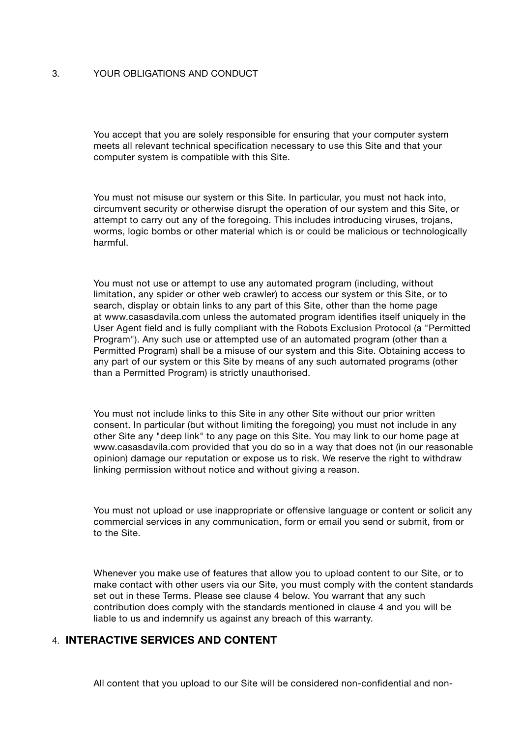## 3. YOUR OBLIGATIONS AND CONDUCT

You accept that you are solely responsible for ensuring that your computer system meets all relevant technical specification necessary to use this Site and that your computer system is compatible with this Site.

You must not misuse our system or this Site. In particular, you must not hack into, circumvent security or otherwise disrupt the operation of our system and this Site, or attempt to carry out any of the foregoing. This includes introducing viruses, trojans, worms, logic bombs or other material which is or could be malicious or technologically harmful.

You must not use or attempt to use any automated program (including, without limitation, any spider or other web crawler) to access our system or this Site, or to search, display or obtain links to any part of this Site, other than the home page at www.casasdavila.com unless the automated program identifies itself uniquely in the User Agent field and is fully compliant with the Robots Exclusion Protocol (a "Permitted Program"). Any such use or attempted use of an automated program (other than a Permitted Program) shall be a misuse of our system and this Site. Obtaining access to any part of our system or this Site by means of any such automated programs (other than a Permitted Program) is strictly unauthorised.

You must not include links to this Site in any other Site without our prior written consent. In particular (but without limiting the foregoing) you must not include in any other Site any "deep link" to any page on this Site. You may link to our home page at www.casasdavila.com provided that you do so in a way that does not (in our reasonable opinion) damage our reputation or expose us to risk. We reserve the right to withdraw linking permission without notice and without giving a reason.

You must not upload or use inappropriate or offensive language or content or solicit any commercial services in any communication, form or email you send or submit, from or to the Site.

Whenever you make use of features that allow you to upload content to our Site, or to make contact with other users via our Site, you must comply with the content standards set out in these Terms. Please see clause 4 below. You warrant that any such contribution does comply with the standards mentioned in clause 4 and you will be liable to us and indemnify us against any breach of this warranty.

# 4. **INTERACTIVE SERVICES AND CONTENT**

All content that you upload to our Site will be considered non-confidential and non-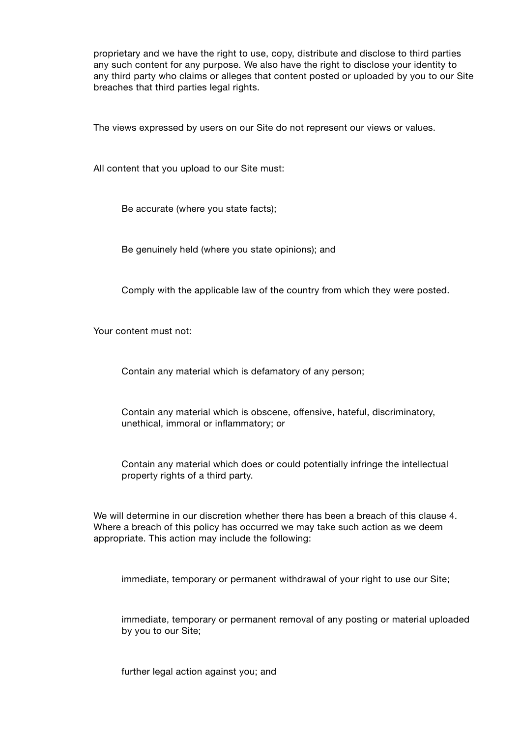proprietary and we have the right to use, copy, distribute and disclose to third parties any such content for any purpose. We also have the right to disclose your identity to any third party who claims or alleges that content posted or uploaded by you to our Site breaches that third parties legal rights.

The views expressed by users on our Site do not represent our views or values.

All content that you upload to our Site must:

Be accurate (where you state facts);

Be genuinely held (where you state opinions); and

Comply with the applicable law of the country from which they were posted.

Your content must not:

Contain any material which is defamatory of any person;

Contain any material which is obscene, offensive, hateful, discriminatory, unethical, immoral or inflammatory; or

Contain any material which does or could potentially infringe the intellectual property rights of a third party.

We will determine in our discretion whether there has been a breach of this clause 4. Where a breach of this policy has occurred we may take such action as we deem appropriate. This action may include the following:

immediate, temporary or permanent withdrawal of your right to use our Site;

immediate, temporary or permanent removal of any posting or material uploaded by you to our Site;

further legal action against you; and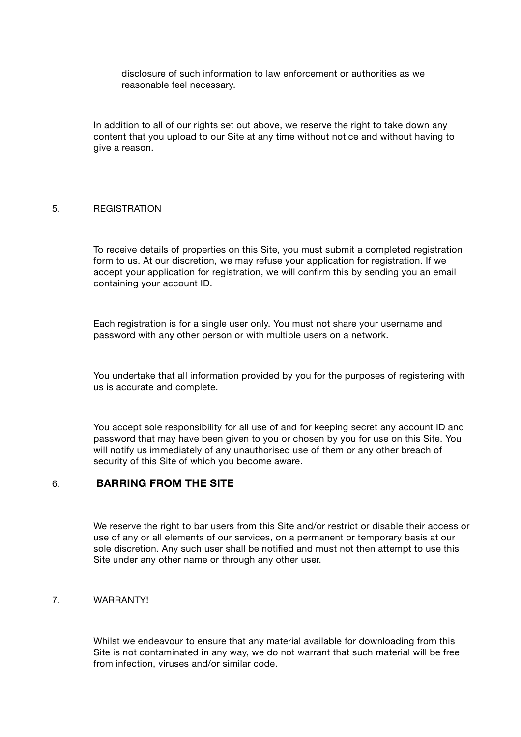disclosure of such information to law enforcement or authorities as we reasonable feel necessary.

In addition to all of our rights set out above, we reserve the right to take down any content that you upload to our Site at any time without notice and without having to give a reason.

#### 5. REGISTRATION

To receive details of properties on this Site, you must submit a completed registration form to us. At our discretion, we may refuse your application for registration. If we accept your application for registration, we will confirm this by sending you an email containing your account ID.

Each registration is for a single user only. You must not share your username and password with any other person or with multiple users on a network.

You undertake that all information provided by you for the purposes of registering with us is accurate and complete.

You accept sole responsibility for all use of and for keeping secret any account ID and password that may have been given to you or chosen by you for use on this Site. You will notify us immediately of any unauthorised use of them or any other breach of security of this Site of which you become aware.

## 6. **BARRING FROM THE SITE**

We reserve the right to bar users from this Site and/or restrict or disable their access or use of any or all elements of our services, on a permanent or temporary basis at our sole discretion. Any such user shall be notified and must not then attempt to use this Site under any other name or through any other user.

## 7. WARRANTY!

Whilst we endeavour to ensure that any material available for downloading from this Site is not contaminated in any way, we do not warrant that such material will be free from infection, viruses and/or similar code.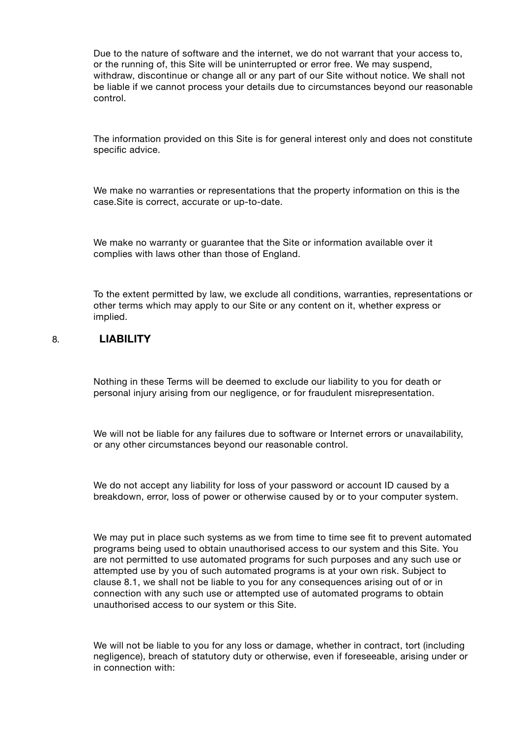Due to the nature of software and the internet, we do not warrant that your access to, or the running of, this Site will be uninterrupted or error free. We may suspend, withdraw, discontinue or change all or any part of our Site without notice. We shall not be liable if we cannot process your details due to circumstances beyond our reasonable control.

The information provided on this Site is for general interest only and does not constitute specific advice.

We make no warranties or representations that the property information on this is the case.Site is correct, accurate or up-to-date.

We make no warranty or guarantee that the Site or information available over it complies with laws other than those of England.

To the extent permitted by law, we exclude all conditions, warranties, representations or other terms which may apply to our Site or any content on it, whether express or implied.

## 8. **LIABILITY**

Nothing in these Terms will be deemed to exclude our liability to you for death or personal injury arising from our negligence, or for fraudulent misrepresentation.

We will not be liable for any failures due to software or Internet errors or unavailability, or any other circumstances beyond our reasonable control.

We do not accept any liability for loss of your password or account ID caused by a breakdown, error, loss of power or otherwise caused by or to your computer system.

We may put in place such systems as we from time to time see fit to prevent automated programs being used to obtain unauthorised access to our system and this Site. You are not permitted to use automated programs for such purposes and any such use or attempted use by you of such automated programs is at your own risk. Subject to clause 8.1, we shall not be liable to you for any consequences arising out of or in connection with any such use or attempted use of automated programs to obtain unauthorised access to our system or this Site.

We will not be liable to you for any loss or damage, whether in contract, tort (including negligence), breach of statutory duty or otherwise, even if foreseeable, arising under or in connection with: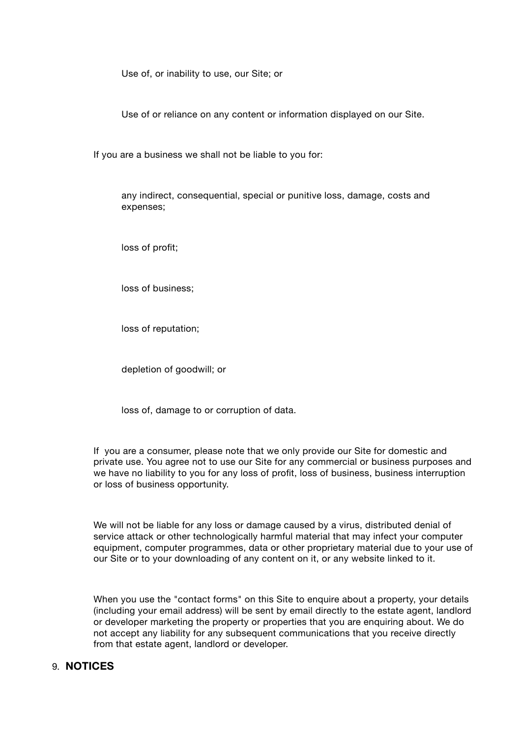Use of, or inability to use, our Site; or

Use of or reliance on any content or information displayed on our Site.

If you are a business we shall not be liable to you for:

any indirect, consequential, special or punitive loss, damage, costs and expenses;

loss of profit;

loss of business;

loss of reputation;

depletion of goodwill; or

loss of, damage to or corruption of data.

If you are a consumer, please note that we only provide our Site for domestic and private use. You agree not to use our Site for any commercial or business purposes and we have no liability to you for any loss of profit, loss of business, business interruption or loss of business opportunity.

We will not be liable for any loss or damage caused by a virus, distributed denial of service attack or other technologically harmful material that may infect your computer equipment, computer programmes, data or other proprietary material due to your use of our Site or to your downloading of any content on it, or any website linked to it.

When you use the "contact forms" on this Site to enquire about a property, your details (including your email address) will be sent by email directly to the estate agent, landlord or developer marketing the property or properties that you are enquiring about. We do not accept any liability for any subsequent communications that you receive directly from that estate agent, landlord or developer.

# 9. **NOTICES**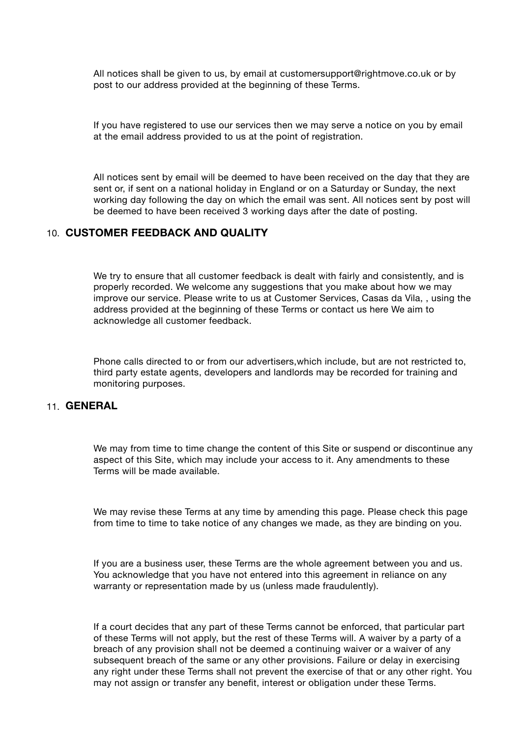All notices shall be given to us, by email at customersupport@rightmove.co.uk or by post to our address provided at the beginning of these Terms.

If you have registered to use our services then we may serve a notice on you by email at the email address provided to us at the point of registration.

All notices sent by email will be deemed to have been received on the day that they are sent or, if sent on a national holiday in England or on a Saturday or Sunday, the next working day following the day on which the email was sent. All notices sent by post will be deemed to have been received 3 working days after the date of posting.

### 10. **CUSTOMER FEEDBACK AND QUALITY**

We try to ensure that all customer feedback is dealt with fairly and consistently, and is properly recorded. We welcome any suggestions that you make about how we may improve our service. Please write to us at Customer Services, Casas da Vila, , using the address provided at the beginning of these Terms or contact us here We aim to acknowledge all customer feedback.

Phone calls directed to or from our advertisers,which include, but are not restricted to, third party estate agents, developers and landlords may be recorded for training and monitoring purposes.

## 11. **GENERAL**

We may from time to time change the content of this Site or suspend or discontinue any aspect of this Site, which may include your access to it. Any amendments to these Terms will be made available.

We may revise these Terms at any time by amending this page. Please check this page from time to time to take notice of any changes we made, as they are binding on you.

If you are a business user, these Terms are the whole agreement between you and us. You acknowledge that you have not entered into this agreement in reliance on any warranty or representation made by us (unless made fraudulently).

If a court decides that any part of these Terms cannot be enforced, that particular part of these Terms will not apply, but the rest of these Terms will. A waiver by a party of a breach of any provision shall not be deemed a continuing waiver or a waiver of any subsequent breach of the same or any other provisions. Failure or delay in exercising any right under these Terms shall not prevent the exercise of that or any other right. You may not assign or transfer any benefit, interest or obligation under these Terms.